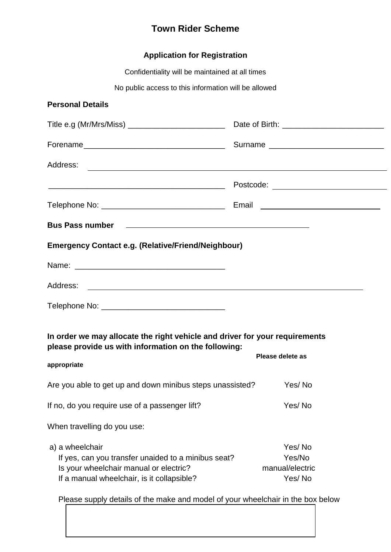# **Town Rider Scheme**

# **Application for Registration**

| Confidentiality will be maintained at all times                                                                                                                                                                                                  |                                                            |
|--------------------------------------------------------------------------------------------------------------------------------------------------------------------------------------------------------------------------------------------------|------------------------------------------------------------|
| No public access to this information will be allowed                                                                                                                                                                                             |                                                            |
| <b>Personal Details</b>                                                                                                                                                                                                                          |                                                            |
|                                                                                                                                                                                                                                                  |                                                            |
|                                                                                                                                                                                                                                                  |                                                            |
| Address:                                                                                                                                                                                                                                         | <u> 1989 - Johann Stoff, amerikansk politiker (* 1908)</u> |
|                                                                                                                                                                                                                                                  |                                                            |
|                                                                                                                                                                                                                                                  |                                                            |
| <u> 1980 - Johann Barn, mars ann an Catharin ann an t-</u><br><b>Bus Pass number</b>                                                                                                                                                             |                                                            |
| <b>Emergency Contact e.g. (Relative/Friend/Neighbour)</b>                                                                                                                                                                                        |                                                            |
|                                                                                                                                                                                                                                                  |                                                            |
| Address:<br><u> 1989 - Johann Stoff, deutscher Stoffen und der Stoffen und der Stoffen und der Stoffen und der Stoffen und der Stoffen und der Stoffen und der Stoffen und der Stoffen und der Stoffen und der Stoffen und der Stoffen und d</u> |                                                            |
|                                                                                                                                                                                                                                                  |                                                            |
|                                                                                                                                                                                                                                                  |                                                            |
| In order we may allocate the right vehicle and driver for your requirements<br>please provide us with information on the following:                                                                                                              |                                                            |
| appropriate                                                                                                                                                                                                                                      | Please delete as                                           |
| Are you able to get up and down minibus steps unassisted?                                                                                                                                                                                        | Yes/No                                                     |
| If no, do you require use of a passenger lift?                                                                                                                                                                                                   | Yes/No                                                     |
| When travelling do you use:                                                                                                                                                                                                                      |                                                            |
| a) a wheelchair<br>If yes, can you transfer unaided to a minibus seat?<br>Is your wheelchair manual or electric?<br>If a manual wheelchair, is it collapsible?                                                                                   | Yes/No<br>Yes/No<br>manual/electric<br>Yes/No              |
| Please supply details of the make and model of your wheelchair in the box below                                                                                                                                                                  |                                                            |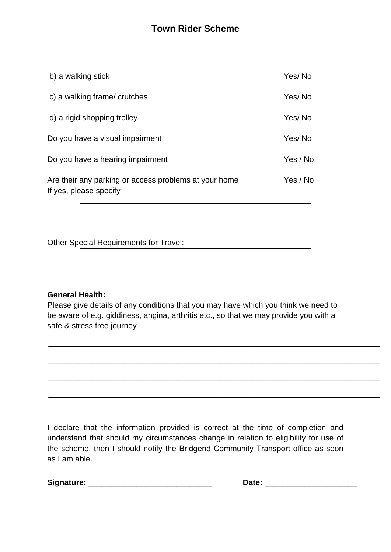| b) a walking stick                                                              | Yes/No   |
|---------------------------------------------------------------------------------|----------|
| c) a walking frame/ crutches                                                    | Yes/No   |
| d) a rigid shopping trolley                                                     | Yes/No   |
| Do you have a visual impairment                                                 | Yes/No   |
| Do you have a hearing impairment                                                | Yes / No |
| Are their any parking or access problems at your home<br>If yes, please specify | Yes / No |

Other Special Requirements for Travel:



### **General Health:**

Please give details of any conditions that you may have which you think we need to be aware of e.g. giddiness, angina, arthritis etc., so that we may provide you with a safe & stress free journey

\_\_\_\_\_\_\_\_\_\_\_\_\_\_\_\_\_\_\_\_\_\_\_\_\_\_\_\_\_\_\_\_\_\_\_\_\_\_\_\_\_\_\_\_\_\_\_\_\_\_\_\_\_\_\_\_\_\_\_\_\_\_\_\_\_\_\_\_\_\_\_\_\_\_\_

\_\_\_\_\_\_\_\_\_\_\_\_\_\_\_\_\_\_\_\_\_\_\_\_\_\_\_\_\_\_\_\_\_\_\_\_\_\_\_\_\_\_\_\_\_\_\_\_\_\_\_\_\_\_\_\_\_\_\_\_\_\_\_\_\_\_\_\_\_\_\_\_\_\_\_

\_\_\_\_\_\_\_\_\_\_\_\_\_\_\_\_\_\_\_\_\_\_\_\_\_\_\_\_\_\_\_\_\_\_\_\_\_\_\_\_\_\_\_\_\_\_\_\_\_\_\_\_\_\_\_\_\_\_\_\_\_\_\_\_\_\_\_\_\_\_\_\_\_\_\_

\_\_\_\_\_\_\_\_\_\_\_\_\_\_\_\_\_\_\_\_\_\_\_\_\_\_\_\_\_\_\_\_\_\_\_\_\_\_\_\_\_\_\_\_\_\_\_\_\_\_\_\_\_\_\_\_\_\_\_\_\_\_\_\_\_\_\_\_\_\_\_\_\_\_\_

I declare that the information provided is correct at the time of completion and understand that should my circumstances change in relation to eligibility for use of the scheme, then I should notify the Bridgend Community Transport office as soon as I am able.

**Signature:** \_\_\_\_\_\_\_\_\_\_\_\_\_\_\_\_\_\_\_\_\_\_\_\_\_\_\_\_ **Date:** \_\_\_\_\_\_\_\_\_\_\_\_\_\_\_\_\_\_\_\_\_